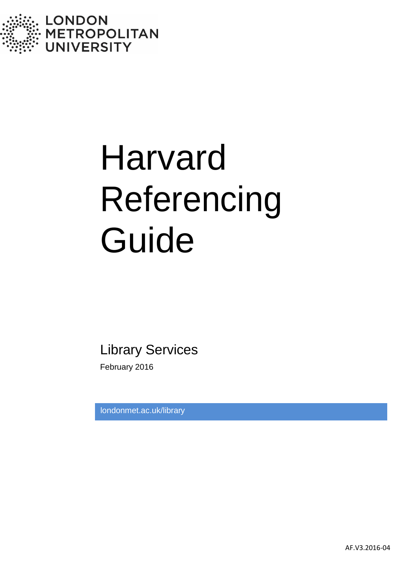

# Harvard Referencing Guide

Library Services

February 2016

londonmet.ac.uk/library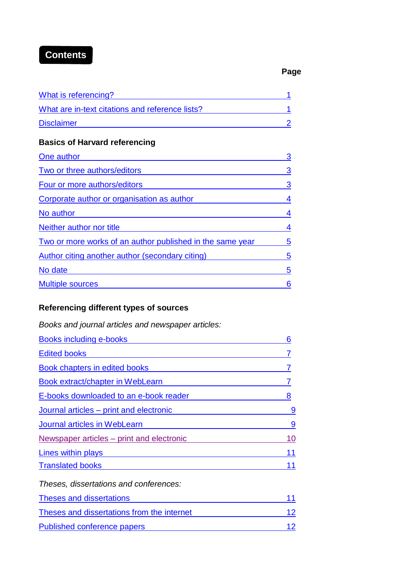# **Contents**

#### **Page**

| What is referencing?                            |  |
|-------------------------------------------------|--|
| What are in-text citations and reference lists? |  |
| <b>Disclaimer</b>                               |  |

# **Basics of [Harvard referencing](#page-6-0)**

| One author                                                | 3 |
|-----------------------------------------------------------|---|
| Two or three authors/editors                              | 3 |
| Four or more authors/editors                              | 3 |
| Corporate author or organisation as author                | 4 |
| No author                                                 |   |
| Neither author nor title                                  |   |
| Two or more works of an author published in the same year | 5 |
| Author citing another author (secondary citing)           | 5 |
| No date                                                   | 5 |
| <b>Multiple sources</b>                                   | 6 |

# **[Referencing different](#page-9-1) types of sources**

| Books and journal articles and newspaper articles: |    |
|----------------------------------------------------|----|
| <b>Books including e-books</b>                     | 6  |
| <b>Edited books</b>                                |    |
| Book chapters in edited books                      |    |
| Book extract/chapter in WebLearn                   |    |
| E-books downloaded to an e-book reader             | 8  |
| Journal articles – print and electronic            | 9  |
| Journal articles in WebLearn                       | 9  |
| Newspaper articles – print and electronic          | 10 |
| Lines within plays                                 | 11 |
| <b>Translated books</b>                            | 11 |
| Theses, dissertations and conferences:             |    |
| <b>Theses and dissertations</b>                    |    |

Theses and [dissertations](#page-15-0) from the internet 12

Published [conference](#page-15-0) papers 12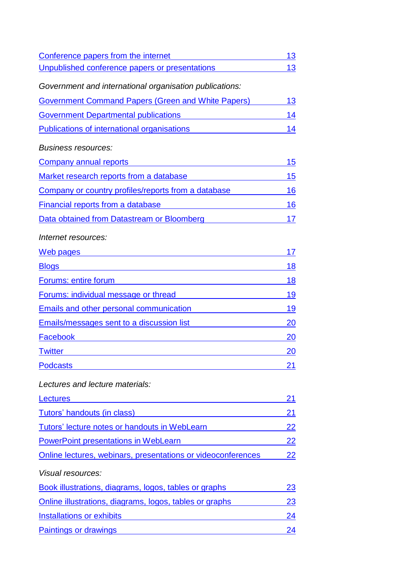| Conference papers from the internet                          | 13        |
|--------------------------------------------------------------|-----------|
| Unpublished conference papers or presentations               | 13        |
| Government and international organisation publications:      |           |
| <b>Government Command Papers (Green and White Papers)</b>    | 13        |
| <b>Government Departmental publications</b>                  | 14        |
| Publications of international organisations                  | 14        |
| <b>Business resources:</b>                                   |           |
| <b>Company annual reports</b>                                | 15        |
| Market research reports from a database                      | 15        |
| Company or country profiles/reports from a database          | 16        |
| Financial reports from a database                            | 16        |
| Data obtained from Datastream or Bloomberg                   | 17        |
| Internet resources:                                          |           |
| <u>Web pages</u>                                             | 17        |
| <b>Blogs</b>                                                 | 18        |
| <b>Forums: entire forum</b>                                  | 18        |
| Forums: individual message or thread                         | 19        |
| <b>Emails and other personal communication</b>               | 19        |
| <b>Emails/messages sent to a discussion list</b>             | <b>20</b> |
| Facebook                                                     | 20        |
| <b>Twitter</b>                                               | 20        |
| <b>Podcasts</b>                                              | 21        |
| Lectures and lecture materials:                              |           |
| Lectures                                                     | 21        |
| Tutors' handouts (in class)                                  | 21        |
| Tutors' lecture notes or handouts in WebLearn                | 22        |
| <b>PowerPoint presentations in WebLearn</b>                  | <u>22</u> |
| Online lectures, webinars, presentations or videoconferences | 22        |
| Visual resources:                                            |           |
| Book illustrations, diagrams, logos, tables or graphs        | 23        |
| Online illustrations, diagrams, logos, tables or graphs      | 23        |
| <b>Installations or exhibits</b>                             | 24        |
| Paintings or drawings                                        | 24        |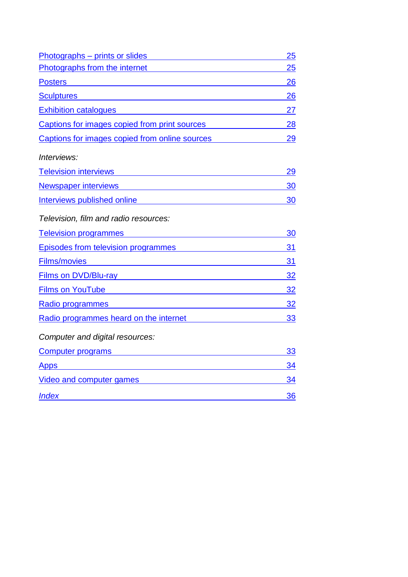| Photographs - prints or slides <b>contained a set of the set of the set of the set of the set of the set of the set of the set of the set of the set of the set of the set of the set of the set of the set of the set of the se</b>   | 25 |
|----------------------------------------------------------------------------------------------------------------------------------------------------------------------------------------------------------------------------------------|----|
| Photographs from the internet                                                                                                                                                                                                          | 25 |
| <b>Posters</b><br><u> 1980 - Johann Stein, mars an deus Frankrik (f. 1980)</u>                                                                                                                                                         | 26 |
| <b>Sculptures Sculptures <i>Contract Contract Contract Contract Contract Contract Contract Contract Contract Contract Contract Contract Contract Contract Contract Contract Contract Contract Contract Contract Contract Contr</i></b> | 26 |
| <b>Exhibition catalogues</b>                                                                                                                                                                                                           | 27 |
| Captions for images copied from print sources 28                                                                                                                                                                                       |    |
| Captions for images copied from online sources                                                                                                                                                                                         | 29 |
| Interviews:                                                                                                                                                                                                                            |    |
| <b>Television interviews</b><br><u> 1980 - Johann Barbara, martxa amerikan personal (h. 1980).</u>                                                                                                                                     | 29 |
| <b>Newspaper interviews</b><br><u> 1989 - Johann Stein, marwolaethau a bhann an t-Albann an t-Albann an t-Albann an t-Albann an t-Albann an t-Al</u>                                                                                   | 30 |
| Interviews published online <b>Container and Container and Container</b> and Container and Container and Container                                                                                                                     | 30 |
| Television, film and radio resources:                                                                                                                                                                                                  |    |
| <b>Television programmes</b><br><u> 1980 - Johann Stein, martin santa a</u>                                                                                                                                                            | 30 |
| Episodes from television programmes                                                                                                                                                                                                    | 31 |
| <b>Films/movies</b><br><u> 1989 - Johann Barn, amerikansk politiker (</u>                                                                                                                                                              | 31 |
| Films on DVD/Blu-ray experience and the property of the state of the state of the state of the state of the state of the state of the state of the state of the state of the state of the state of the state of the state of t         | 32 |
| <b>Films on YouTube 22 All and 23 All and 24 All and 24 All and 24 All and 24 All and 24 All and 24 All and 24 All and 24 All and 24 All and 24 All and 24 All and 24 All and 25 All and 26 All and 26 All and 26 All and 26 All</b>   |    |
| Radio programmes and the state of the state of the state of the state of the state of the state of the state of the state of the state of the state of the state of the state of the state of the state of the state of the st         |    |
| Radio programmes heard on the internet                                                                                                                                                                                                 | 33 |
| Computer and digital resources:                                                                                                                                                                                                        |    |
| Computer programs entitled by the computer programs                                                                                                                                                                                    | 33 |
| <b>Apps</b>                                                                                                                                                                                                                            | 34 |
| Video and computer games <b>Video and Computer games</b>                                                                                                                                                                               | 34 |
| <b>Index</b>                                                                                                                                                                                                                           | 36 |
|                                                                                                                                                                                                                                        |    |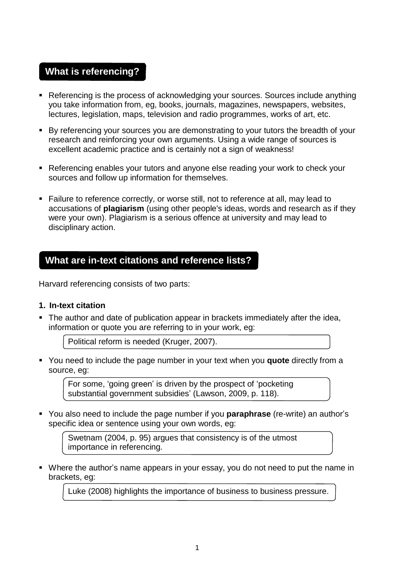# <span id="page-4-0"></span>**What is referencing?**

- Referencing is the process of acknowledging your sources. Sources include anything you take information from, eg, books, journals, magazines, newspapers, websites, lectures, legislation, maps, television and radio programmes, works of art, etc.
- By referencing your sources you are demonstrating to your tutors the breadth of your research and reinforcing your own arguments. Using a wide range of sources is excellent academic practice and is certainly not a sign of weakness!
- Referencing enables your tutors and anyone else reading your work to check your sources and follow up information for themselves.
- Failure to reference correctly, or worse still, not to reference at all, may lead to accusations of **plagiarism** (using other people's ideas, words and research as if they were your own). Plagiarism is a serious offence at university and may lead to disciplinary action.

# <span id="page-4-1"></span>**What are in-text citations and reference lists?**

Harvard referencing consists of two parts:

#### **1. In-text citation**

 The author and date of publication appear in brackets immediately after the idea, information or quote you are referring to in your work, eg:

Political reform is needed (Kruger, 2007).

 You need to include the page number in your text when you **quote** directly from a source, eg:

For some, 'going green' is driven by the prospect of 'pocketing substantial government subsidies' (Lawson, 2009, p. 118).

 You also need to include the page number if you **paraphrase** (re-write) an author's specific idea or sentence using your own words, eg:

Swetnam (2004, p. 95) argues that consistency is of the utmost importance in referencing.

 Where the author's name appears in your essay, you do not need to put the name in brackets, eg:

Luke (2008) highlights the importance of business to business pressure.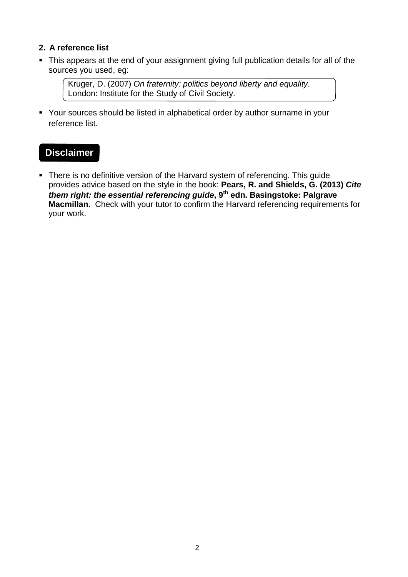# **2. A reference list**

• This appears at the end of your assignment giving full publication details for all of the sources you used, eg:

Kruger, D. (2007) *On fraternity: politics beyond liberty and equality*. London: Institute for the Study of Civil Society.

 Your sources should be listed in alphabetical order by author surname in your reference list.

# **Disclaimer**

• There is no definitive version of the Harvard system of referencing. This guide provides advice based on the style in the book: **Pears, R. and Shields, G. (2013)** *Cite them right: the essential referencing guide***, 9th edn. Basingstoke: Palgrave Macmillan.** Check with your tutor to confirm the Harvard referencing requirements for your work.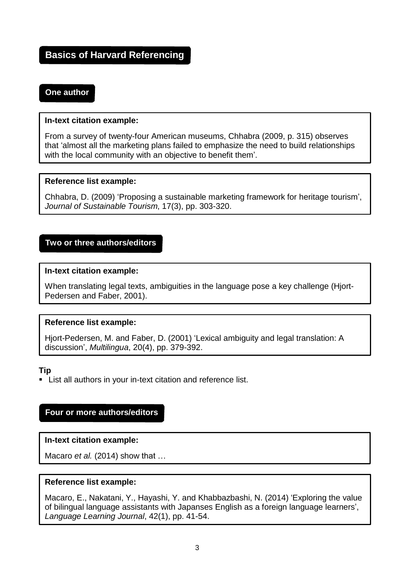# <span id="page-6-1"></span><span id="page-6-0"></span>**Basics of Harvard Referencing**

# **One author**

#### **In-text citation example:**

From a survey of twenty-four American museums, Chhabra (2009, p. 315) observes that 'almost all the marketing plans failed to emphasize the need to build relationships with the local community with an objective to benefit them'.

#### **Reference list example:**

Chhabra, D. (2009) 'Proposing a sustainable marketing framework for heritage tourism', *Journal of Sustainable Tourism*, 17(3), pp. 303-320.

# <span id="page-6-2"></span>**Two or three authors/editors**

#### **In-text citation example:**

When translating legal texts, ambiguities in the language pose a key challenge (Hjort-Pedersen and Faber, 2001).

#### **Reference list example:**

Hjort-Pedersen, M. and Faber, D. (2001) 'Lexical ambiguity and legal translation: A discussion', *Multilingua*, 20(4), pp. 379-392.

#### **Tip**

List all authors in your in-text citation and reference list.

#### **Four or more authors/editors**

#### **In-text citation example:**

Macaro *et al.* (2014) show that …

#### **Reference list example:**

Macaro, E., Nakatani, Y., Hayashi, Y. and Khabbazbashi, N. (2014) 'Exploring the value of bilingual language assistants with Japanses English as a foreign language learners', *Language Learning Journal*, 42(1), pp. 41-54.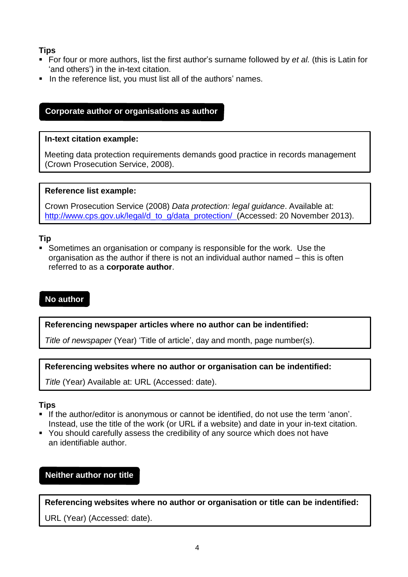# <span id="page-7-1"></span>**Tips**

- For four or more authors, list the first author's surname followed by *et al.* (this is Latin for 'and others') in the in-text citation.
- In the reference list, you must list all of the authors' names.

# <span id="page-7-0"></span>**Corporate author or organisations as author**

#### **In-text citation example:**

Meeting data protection requirements demands good practice in records management (Crown Prosecution Service, 2008).

#### **Reference list example:**

Crown Prosecution Service (2008) *Data protection: legal guidance*. Available at: [http://www.cps.gov.uk/legal/d\\_to\\_g/data\\_protection/](http://www.cps.gov.uk/legal/d_to_g/data_protection/) (Accessed: 20 November 2013).

# **Tip**

 Sometimes an organisation or company is responsible for the work. Use the organisation as the author if there is not an individual author named – this is often referred to as a **corporate author**.

# **No author**

#### **Referencing newspaper articles where no author can be indentified:**

*Title of newspaper* (Year) 'Title of article', day and month, page number(s).

**Referencing websites where no author or organisation can be indentified:**

*Title* (Year) Available at: URL (Accessed: date).

#### **Tips**

- If the author/editor is anonymous or cannot be identified, do not use the term 'anon'. Instead, use the title of the work (or URL if a website) and date in your in-text citation.
- You should carefully assess the credibility of any source which does not have an identifiable author.

# **Neither author nor title**

**Referencing websites where no author or organisation or title can be indentified:**

URL (Year) (Accessed: date).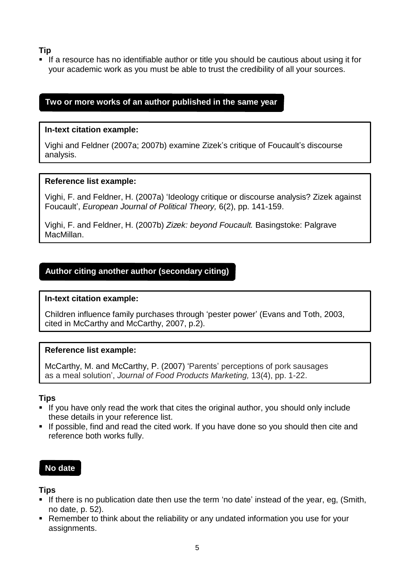# **Tip**

 If a resource has no identifiable author or title you should be cautious about using it for your academic work as you must be able to trust the credibility of all your sources.

# <span id="page-8-0"></span>**Two or more works of an author published in the same year**

## **In-text citation example:**

Vighi and Feldner (2007a; 2007b) examine Zizek's critique of Foucault's discourse analysis.

# **Reference list example:**

Vighi, F. and Feldner, H. (2007a) 'Ideology critique or discourse analysis? Zizek against Foucault', *European Journal of Political Theory,* 6(2), pp. 141-159.

Vighi, F. and Feldner, H. (2007b) *Zizek: beyond Foucault.* Basingstoke: Palgrave MacMillan.

# <span id="page-8-1"></span>**Author citing another author (secondary citing)**

#### **In-text citation example:**

Children influence family purchases through 'pester power' (Evans and Toth, 2003, cited in McCarthy and McCarthy, 2007, p.2).

#### **Reference list example:**

McCarthy, M. and McCarthy, P. (2007) 'Parents' perceptions of pork sausages as a meal solution', *Journal of Food Products Marketing,* 13(4), pp. 1-22.

#### **Tips**

- If you have only read the work that cites the original author, you should only include these details in your reference list.
- **If possible, find and read the cited work. If you have done so you should then cite and** reference both works fully.

# <span id="page-8-2"></span>**No date**

# **Tips**

- If there is no publication date then use the term 'no date' instead of the year, eg, (Smith, no date, p. 52).
- Remember to think about the reliability or any undated information you use for your assignments.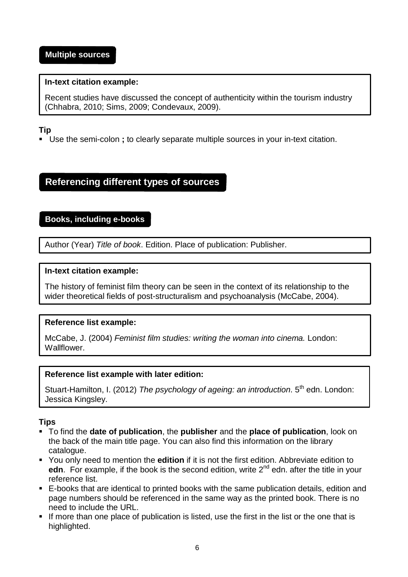#### <span id="page-9-2"></span><span id="page-9-0"></span>**In-text citation example:**

Recent studies have discussed the concept of authenticity within the tourism industry (Chhabra, 2010; Sims, 2009; Condevaux, 2009).

# **Tip**

Use the semi-colon **;** to clearly separate multiple sources in your in-text citation.

# <span id="page-9-1"></span>**Referencing different types of sources**

# **Books, including e-books**

Author (Year) *Title of book*. Edition. Place of publication: Publisher.

#### **In-text citation example:**

The history of feminist film theory can be seen in the context of its relationship to the wider theoretical fields of post-structuralism and psychoanalysis (McCabe, 2004).

# **Reference list example:**

McCabe, J. (2004) *Feminist film studies: writing the woman into cinema.* London: Wallflower.

#### **Reference list example with later edition:**

Stuart-Hamilton, I. (2012) *The psychology of ageing: an introduction*. 5th edn. London: Jessica Kingsley.

# **Tips**

- To find the **date of publication**, the **publisher** and the **place of publication**, look on the back of the main title page. You can also find this information on the library catalogue.
- You only need to mention the **edition** if it is not the first edition. Abbreviate edition to edn. For example, if the book is the second edition, write 2<sup>nd</sup> edn. after the title in your reference list.
- E-books that are identical to printed books with the same publication details, edition and page numbers should be referenced in the same way as the printed book. There is no need to include the URL.
- If more than one place of publication is listed, use the first in the list or the one that is highlighted.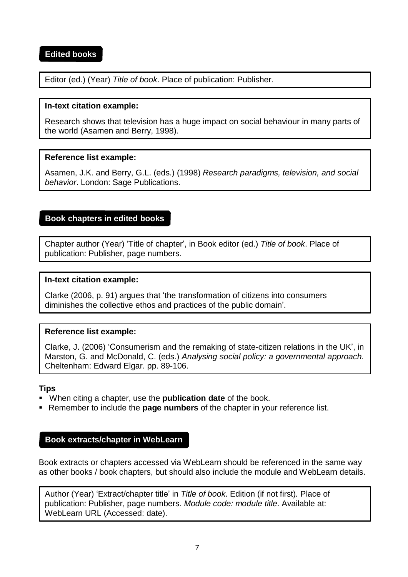# <span id="page-10-1"></span><span id="page-10-0"></span>**Edited books**

Editor (ed.) (Year) *Title of book*. Place of publication: Publisher.

#### **In-text citation example:**

Research shows that television has a huge impact on social behaviour in many parts of the world (Asamen and Berry, 1998).

#### **Reference list example:**

Asamen, J.K. and Berry, G.L. (eds.) (1998) *Research paradigms, television, and social behavior*. London: Sage Publications.

# **Book chapters in edited books**

Chapter author (Year) 'Title of chapter', in Book editor (ed.) *Title of book*. Place of publication: Publisher, page numbers.

#### **In-text citation example:**

Clarke (2006, p. 91) argues that 'the transformation of citizens into consumers diminishes the collective ethos and practices of the public domain'.

#### **Reference list example:**

Clarke, J. (2006) 'Consumerism and the remaking of state-citizen relations in the UK', in Marston, G. and McDonald, C. (eds.) *Analysing social policy: a governmental approach.*  Cheltenham: Edward Elgar. pp. 89-106.

#### **Tips**

- When citing a chapter, use the **publication date** of the book.
- Remember to include the **page numbers** of the chapter in your reference list.

#### <span id="page-10-2"></span>**Book extracts/chapter in WebLearn**

Book extracts or chapters accessed via WebLearn should be referenced in the same way as other books / book chapters, but should also include the module and WebLearn details.

Author (Year) 'Extract/chapter title' in *Title of book*. Edition (if not first)*.* Place of publication: Publisher, page numbers. *Module code: module title*. Available at: WebLearn URL (Accessed: date).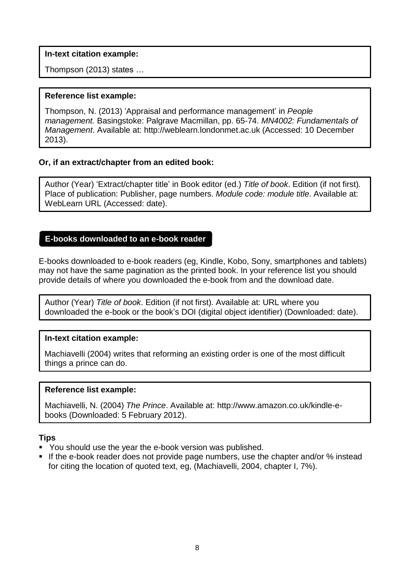#### **In-text citation example:**

Thompson (2013) states …

#### **Reference list example:**

Thompson, N. (2013) 'Appraisal and performance management' in *People management.* Basingstoke: Palgrave Macmillan, pp. 65-74. *MN4002: Fundamentals of Management*. Available at: [http://weblearn.londonmet.ac.uk \(](http://weblearn.londonmet.ac.uk/)Accessed: 10 December 2013).

#### **Or, if an extract/chapter from an edited book:**

Author (Year) 'Extract/chapter title' in Book editor (ed.) *Title of book*. Edition (if not first)*.*  Place of publication: Publisher, page numbers. *Module code: module title*. Available at: WebLearn URL (Accessed: date).

#### <span id="page-11-0"></span>**E-books downloaded to an e-book reader**

E-books downloaded to e-book readers (eg, Kindle, Kobo, Sony, smartphones and tablets) may not have the same pagination as the printed book. In your reference list you should provide details of where you downloaded the e-book from and the download date.

Author (Year) *Title of book*. Edition (if not first). Available at: URL where you downloaded the e-book or the book's DOI (digital object identifier) (Downloaded: date).

#### **In-text citation example:**

Machiavelli (2004) writes that reforming an existing order is one of the most difficult things a prince can do.

#### **Reference list example:**

Machiavelli, N. (2004) *The Prince*. Available [at: http://www.amazon.co.uk/kindle-e](http://www.amazon.co.uk/kindle-e-books)[books \(](http://www.amazon.co.uk/kindle-e-books)Downloaded: 5 February 2012).

#### **Tips**

- You should use the year the e-book version was published.
- If the e-book reader does not provide page numbers, use the chapter and/or % instead for citing the location of quoted text, eg, (Machiavelli, 2004, chapter I, 7%).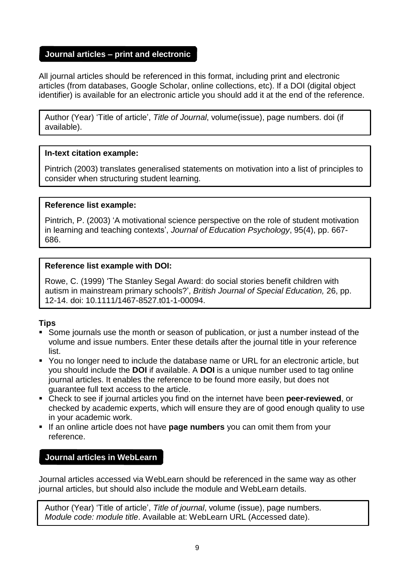# <span id="page-12-0"></span>**Journal articles – print and electronic**

All journal articles should be referenced in this format, including print and electronic articles (from databases, Google Scholar, online collections, etc). If a DOI (digital object identifier) is available for an electronic article you should add it at the end of the reference.

Author (Year) 'Title of article', *Title of Journal*, volume(issue), page numbers. doi (if available).

# **In-text citation example:**

Pintrich (2003) translates generalised statements on motivation into a list of principles to consider when structuring student learning.

# **Reference list example:**

Pintrich, P. (2003) 'A motivational science perspective on the role of student motivation in learning and teaching contexts', *Journal of Education Psychology*, 95(4), pp. 667- 686.

# **Reference list example with DOI:**

Rowe, C. (1999) 'The Stanley Segal Award: do social stories benefit children with autism in mainstream primary schools?', *British Journal of Special Education,* 26, pp. 12-14. doi: 10.1111/1467-8527.t01-1-00094.

# **Tips**

- Some journals use the month or season of publication, or just a number instead of the volume and issue numbers. Enter these details after the journal title in your reference list.
- You no longer need to include the database name or URL for an electronic article, but you should include the **DOI** if available. A **DOI** is a unique number used to tag online journal articles. It enables the reference to be found more easily, but does not guarantee full text access to the article.
- Check to see if journal articles you find on the internet have been **peer-reviewed**, or checked by academic experts, which will ensure they are of good enough quality to use in your academic work.
- If an online article does not have **page numbers** you can omit them from your reference.

# <span id="page-12-1"></span>**Journal articles in WebLearn**

Journal articles accessed via WebLearn should be referenced in the same way as other journal articles, but should also include the module and WebLearn details.

Author (Year) 'Title of article', *Title of journal*, volume (issue), page numbers. *Module code: module title*. Available at: WebLearn URL (Accessed date).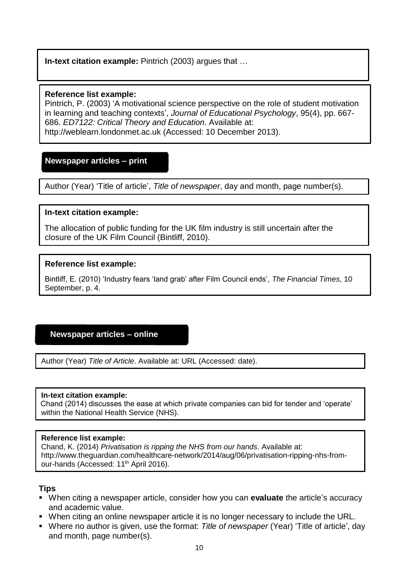# **In-text citation example:** Pintrich (2003) argues that …

#### **Reference list example:**

Pintrich, P. (2003) 'A motivational science perspective on the role of student motivation in learning and teaching contexts', *Journal of Educational Psychology*, 95(4), pp. 667- 686. *ED7122: Critical Theory and Education.* Available at[:](http://weblearn.londonmet.ac.uk/) [http://weblearn.londonmet.ac.uk](http://weblearn.londonmet.ac.uk/) (Accessed: 10 December 2013).

# <span id="page-13-0"></span>**Newspaper articles – print**

Author (Year) 'Title of article', *Title of newspaper*, day and month, page number(s).

#### **In-text citation example:**

The allocation of public funding for the UK film industry is still uncertain after the closure of the UK Film Council (Bintliff, 2010).

#### **Reference list example:**

Bintliff, E. (2010) 'Industry fears 'land grab' after Film Council ends', *The Financial Times*, 10 September, p. 4.

#### **Newspaper articles – online**

Author (Year) *Title of Article*. Available at: URL (Accessed: date).

#### **In-text citation example:**

 Chand (2014) discusses the ease at which private companies can bid for tender and 'operate' within the National Health Service (NHS).

#### **Reference list example:**

Chand, K. (2014) *Privatisation is ripping the NHS from our hands*. Available at: http://www.theguardian.com/healthcare-network/2014/aug/06/privatisation-ripping-nhs-fromour-hands (Accessed: 11<sup>th</sup> April 2016).

#### **Tips**

- When citing a newspaper article, consider how you can **evaluate** the article's accuracy and academic value.
- When citing an online newspaper article it is no longer necessary to include the URL.
- Where no author is given, use the format: *Title of newspaper* (Year) 'Title of article', day and month, page number(s).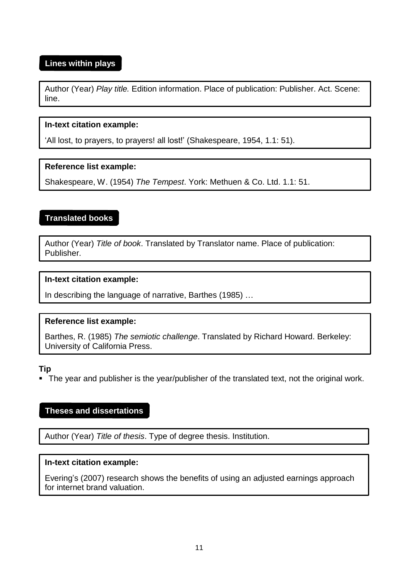# <span id="page-14-0"></span>**Lines within plays**

Author (Year) *Play title.* Edition information. Place of publication: Publisher. Act. Scene: line.

#### **In-text citation example:**

'All lost, to prayers, to prayers! all lost!' (Shakespeare, 1954, 1.1: 51).

#### **Reference list example:**

Shakespeare, W. (1954) *The Tempest*. York: Methuen & Co. Ltd. 1.1: 51.

# **Translated books**

Author (Year) *Title of book*. Translated by Translator name. Place of publication: Publisher.

#### **In-text citation example:**

In describing the language of narrative, Barthes (1985) …

#### **Reference list example:**

Barthes, R. (1985) *The semiotic challenge*. Translated by Richard Howard. Berkeley: University of California Press.

#### **Tip**

The year and publisher is the year/publisher of the translated text, not the original work.

# <span id="page-14-1"></span>**Theses and dissertations**

Author (Year) *Title of thesis*. Type of degree thesis. Institution.

#### **In-text citation example:**

Evering's (2007) research shows the benefits of using an adjusted earnings approach for internet brand valuation.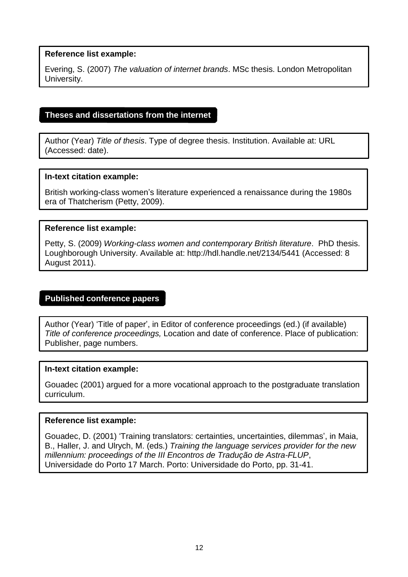<span id="page-15-0"></span>Evering, S. (2007) *The valuation of internet brands*. MSc thesis. London Metropolitan University.

#### **Theses and dissertations from the internet**

Author (Year) *Title of thesis*. Type of degree thesis. Institution. Available at: URL (Accessed: date).

#### **In-text citation example:**

British working-class women's literature experienced a renaissance during the 1980s era of Thatcherism (Petty, 2009).

#### **Reference list example:**

Petty, S. (2009) *Working-class women and contemporary British literature*. PhD thesis. Loughborough University. Available [at: http://hdl.handle.net/2134/5441](http://hdl.handle.net/2134/5441) (Accessed: 8 August 2011).

#### **Published conference papers**

Author (Year) 'Title of paper', in Editor of conference proceedings (ed.) (if available) *Title of conference proceedings,* Location and date of conference. Place of publication: Publisher, page numbers.

#### **In-text citation example:**

Gouadec (2001) argued for a more vocational approach to the postgraduate translation curriculum.

#### **Reference list example:**

Gouadec, D. (2001) 'Training translators: certainties, uncertainties, dilemmas', in Maia, B., Haller, J. and Ulrych, M. (eds.) *Training the language services provider for the new millennium: proceedings of the III Encontros de Tradução de Astra-FLUP*, Universidade do Porto 17 March. Porto: Universidade do Porto, pp. 31-41.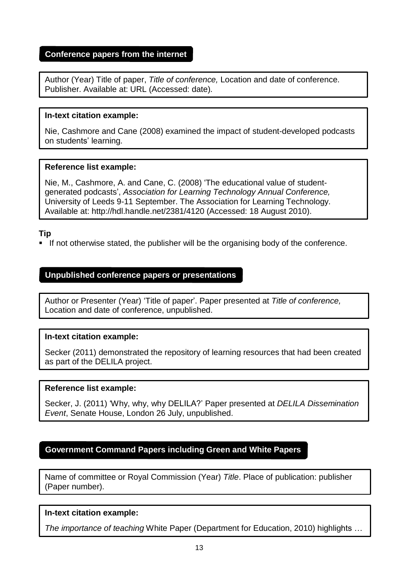# <span id="page-16-0"></span>**Conference papers from the internet**

Author (Year) Title of paper, *Title of conference,* Location and date of conference. Publisher. Available at: URL (Accessed: date).

#### **In-text citation example:**

Nie, Cashmore and Cane (2008) examined the impact of student-developed podcasts on students' learning.

#### **Reference list example:**

Nie, M., Cashmore, A. and Cane, C. (2008) 'The educational value of studentgenerated podcasts', *Association for Learning Technology Annual Conference,*  University of Leeds 9-11 September. The Association for Learning Technology. Available at: <http://hdl.handle.net/2381/4120> (Accessed: 18 August 2010).

#### **Tip**

**If not otherwise stated, the publisher will be the organising body of the conference.** 

#### **Unpublished conference papers or presentations**

Author or Presenter (Year) 'Title of paper'. Paper presented at *Title of conference,* Location and date of conference, unpublished.

#### **In-text citation example:**

Secker (2011) demonstrated the repository of learning resources that had been created as part of the DELILA project.

#### **Reference list example:**

Secker, J. (2011) 'Why, why, why DELILA?' Paper presented at *DELILA Dissemination Event*, Senate House, London 26 July, unpublished.

# <span id="page-16-1"></span>**Government Command Papers including Green and White Papers**

Name of committee or Royal Commission (Year) *Title*. Place of publication: publisher (Paper number).

#### **In-text citation example:**

*The importance of teaching* White Paper (Department for Education, 2010) highlights …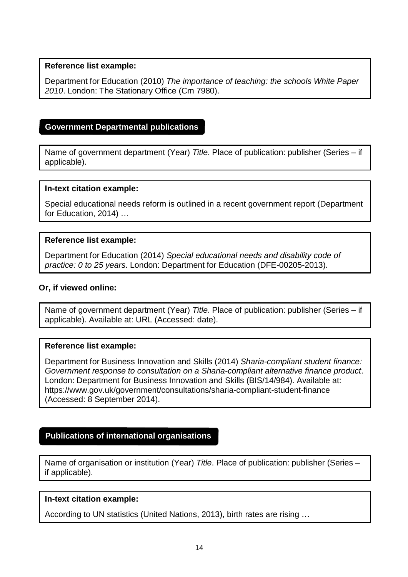<span id="page-17-0"></span>Department for Education (2010) *The importance of teaching: the schools White Paper 2010*. London: The Stationary Office (Cm 7980).

## **Government Departmental publications**

Name of government department (Year) *Title*. Place of publication: publisher (Series – if applicable).

#### **In-text citation example:**

Special educational needs reform is outlined in a recent government report (Department for Education, 2014) …

#### **Reference list example:**

Department for Education (2014) *Special educational needs and disability code of practice: 0 to 25 years*. London: Department for Education (DFE-00205-2013).

#### **Or, if viewed online:**

Name of government department (Year) *Title*. Place of publication: publisher (Series – if applicable). Available at: URL (Accessed: date).

#### **Reference list example:**

Department for Business Innovation and Skills (2014) *Sharia-compliant student finance: Government response to consultation on a Sharia-compliant alternative finance product*. London: Department for Business Innovation and Skills (BIS/14/984). Available at[:](https://www.gov.uk/government/consultations/sharia-compliant-student-finance) <https://www.gov.uk/government/consultations/sharia-compliant-student-finance> (Accessed: 8 September 2014).

#### <span id="page-17-1"></span>**Publications of international organisations**

Name of organisation or institution (Year) *Title*. Place of publication: publisher (Series – if applicable).

#### **In-text citation example:**

According to UN statistics (United Nations, 2013), birth rates are rising …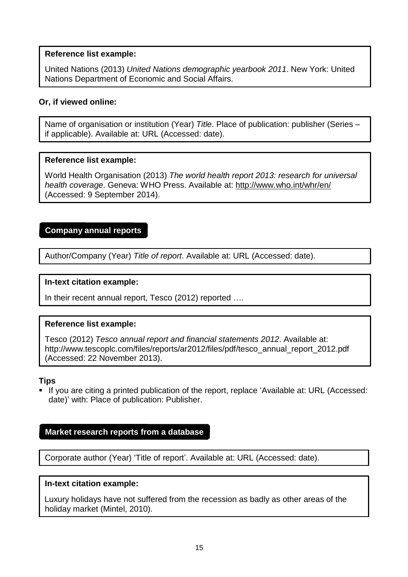United Nations (2013) *United Nations demographic yearbook 2011*. New York: United Nations Department of Economic and Social Affairs.

#### **Or, if viewed online:**

Name of organisation or institution (Year) *Title*. Place of publication: publisher (Series – if applicable). Available at: URL (Accessed: date).

#### **Reference list example:**

World Health Organisation (2013) *The world health report 2013: research for universal health coverage*. Geneva: WHO Press. Available at:<http://www.who.int/whr/en/> (Accessed: 9 September 2014).

# <span id="page-18-0"></span>**Company annual reports**

Author/Company (Year) *Title of report*. Available at: URL (Accessed: date).

#### **In-text citation example:**

In their recent annual report, Tesco (2012) reported ….

#### **Reference list example:**

Tesco (2012) *Tesco annual report and financial statements 2012*. Available at[:](http://www.tescoplc.com/files/reports/ar2012/files/pdf/tesco_annual_report_2012.pdf) [http://www.tescoplc.com/files/reports/ar2012/files/pdf/tesco\\_annual\\_report\\_2012.pdf](http://www.tescoplc.com/files/reports/ar2012/files/pdf/tesco_annual_report_2012.pdf) (Accessed: 22 November 2013).

#### **Tips**

 If you are citing a printed publication of the report, replace 'Available at: URL (Accessed: date)' with: Place of publication: Publisher.

#### <span id="page-18-1"></span>**Market research reports from a database**

Corporate author (Year) 'Title of report'. Available at: URL (Accessed: date).

#### **In-text citation example:**

Luxury holidays have not suffered from the recession as badly as other areas of the holiday market (Mintel, 2010).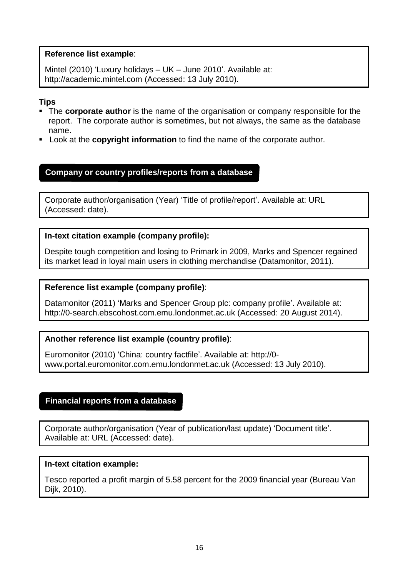Mintel (2010) 'Luxury holidays – UK – June 2010'. Available at[:](http://academic.mintel.com/) [http://academic.mintel.com](http://academic.mintel.com/) (Accessed: 13 July 2010).

## **Tips**

- The **corporate author** is the name of the organisation or company responsible for the report. The corporate author is sometimes, but not always, the same as the database name.
- Look at the **copyright information** to find the name of the corporate author.

# <span id="page-19-0"></span>**Company or country profiles/reports from a database**

Corporate author/organisation (Year) 'Title of profile/report'. Available at: URL (Accessed: date).

#### **In-text citation example (company profile):**

Despite tough competition and losing to Primark in 2009, Marks and Spencer regained its market lead in loyal main users in clothing merchandise (Datamonitor, 2011).

#### **Reference list example (company profile)**:

Datamonitor (2011) 'Marks and Spencer Group plc: company profile'. Available at[:](http://0-search.ebscohost.com.emu.londonmet.ac.uk/) [http://0-search.ebscohost.com.emu.londonmet.ac.uk \(](http://0-search.ebscohost.com.emu.londonmet.ac.uk/)Accessed: 20 August 2014).

#### **Another reference list example (country profile)**:

Euromonitor (2010) 'China: country factfile'. Available at: [http://0](http://0-/) [www.portal.euromonitor.com.emu.londonmet.ac.uk \(](http://www.portal.euromonitor.com.emu.londonmet.ac.uk/)Accessed: 13 July 2010).

# <span id="page-19-1"></span>**Financial reports from a database**

Corporate author/organisation (Year of publication/last update) 'Document title'. Available at: URL (Accessed: date).

#### **In-text citation example:**

Tesco reported a profit margin of 5.58 percent for the 2009 financial year (Bureau Van Dijk, 2010).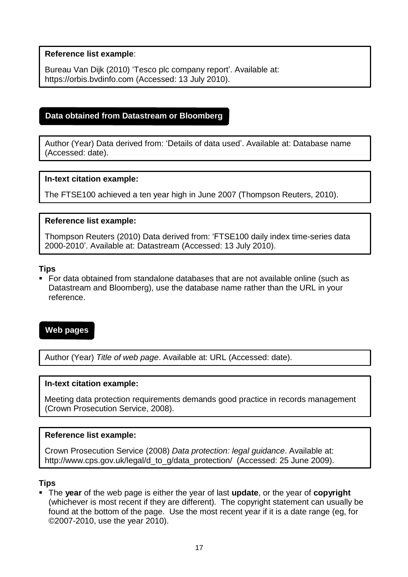<span id="page-20-0"></span>Bureau Van Dijk (2010) 'Tesco plc company report'. Available at: https://orbis.bvdinfo.com (Accessed: 13 July 2010).

# **Data obtained from Datastream or Bloomberg**

Author (Year) Data derived from: 'Details of data used'. Available at: Database name (Accessed: date).

#### **In-text citation example:**

The FTSE100 achieved a ten year high in June 2007 (Thompson Reuters, 2010).

#### **Reference list example:**

Thompson Reuters (2010) Data derived from: 'FTSE100 daily index time-series data 2000-2010'. Available at: Datastream (Accessed: 13 July 2010).

#### **Tips**

 For data obtained from standalone databases that are not available online (such as Datastream and Bloomberg), use the database name rather than the URL in your reference.

## <span id="page-20-1"></span>**Web pages**

Author (Year) *Title of web page*. Available at: URL (Accessed: date).

#### **In-text citation example:**

Meeting data protection requirements demands good practice in records management (Crown Prosecution Service, 2008).

#### **Reference list example:**

Crown Prosecution Service (2008) *Data protection: legal guidance*. Available at[:](http://www.cps.gov.uk/legal/d_to_g/data_protection/) [http://www.cps.gov.uk/legal/d\\_to\\_g/data\\_protection/](http://www.cps.gov.uk/legal/d_to_g/data_protection/) (Accessed: 25 June 2009).

#### **Tips**

 The **year** of the web page is either the year of last **update**, or the year of **copyright**  (whichever is most recent if they are different). The copyright statement can usually be found at the bottom of the page. Use the most recent year if it is a date range (eg, for ©2007-2010, use the year 2010).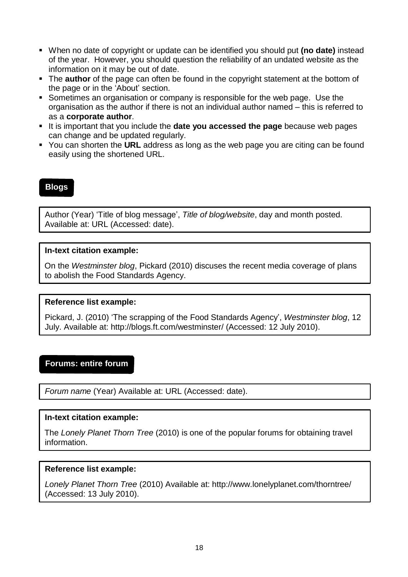- When no date of copyright or update can be identified you should put **(no date)** instead of the year. However, you should question the reliability of an undated website as the information on it may be out of date.
- The **author** of the page can often be found in the copyright statement at the bottom of the page or in the 'About' section.
- Sometimes an organisation or company is responsible for the web page. Use the organisation as the author if there is not an individual author named – this is referred to as a **corporate author**.
- It is important that you include the **date you accessed the page** because web pages can change and be updated regularly.
- You can shorten the **URL** address as long as the web page you are citing can be found easily using the shortened URL.

# <span id="page-21-0"></span>**Blogs**

Author (Year) 'Title of blog message', *Title of blog/website*, day and month posted. Available at: URL (Accessed: date).

#### **In-text citation example:**

On the *Westminster blog*, Pickard (2010) discuses the recent media coverage of plans to abolish the Food Standards Agency.

#### **Reference list example:**

Pickard, J. (2010) 'The scrapping of the Food Standards Agency', *Westminster blog*, 12 July. Available [at: http://blogs.ft.com/westminster/ \(](http://blogs.ft.com/westminster/)Accessed: 12 July 2010).

#### <span id="page-21-1"></span>**Forums: entire forum**

*Forum name* (Year) Available at: URL (Accessed: date).

#### **In-text citation example:**

The *Lonely Planet Thorn Tree* (2010) is one of the popular forums for obtaining travel information.

#### **Reference list example:**

*Lonely Planet Thorn Tree* (2010) Available at: <http://www.lonelyplanet.com/thorntree/> (Accessed: 13 July 2010).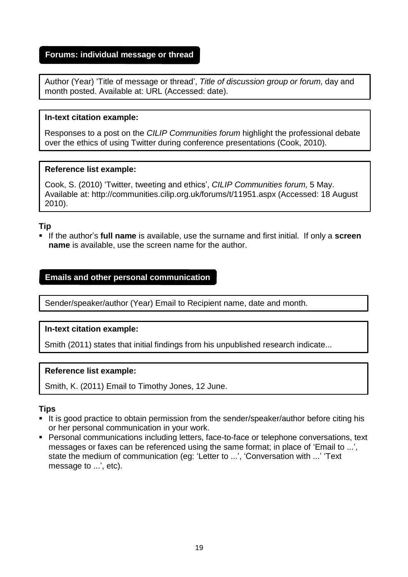#### <span id="page-22-0"></span>**Forums: individual message or thread**

Author (Year) 'Title of message or thread', *Title of discussion group or forum*, day and month posted. Available at: URL (Accessed: date).

#### **In-text citation example:**

Responses to a post on the *CILIP Communities forum* highlight the professional debate over the ethics of using Twitter during conference presentations (Cook, 2010).

#### **Reference list example:**

Cook, S. (2010) 'Twitter, tweeting and ethics', *CILIP Communities forum*, 5 May. Available at: <http://communities.cilip.org.uk/forums/t/11951.aspx> (Accessed: 18 August 2010).

#### **Tip**

 If the author's **full name** is available, use the surname and first initial. If only a **screen name** is available, use the screen name for the author.

# <span id="page-22-1"></span>**Emails and other personal communication**

Sender/speaker/author (Year) Email to Recipient name, date and month.

#### **In-text citation example:**

Smith (2011) states that initial findings from his unpublished research indicate...

#### **Reference list example:**

Smith, K. (2011) Email to Timothy Jones, 12 June.

#### **Tips**

- It is good practice to obtain permission from the sender/speaker/author before citing his or her personal communication in your work.
- **Personal communications including letters, face-to-face or telephone conversations, text** messages or faxes can be referenced using the same format; in place of 'Email to ...', state the medium of communication (eg: 'Letter to ...', 'Conversation with ...' 'Text message to ...', etc).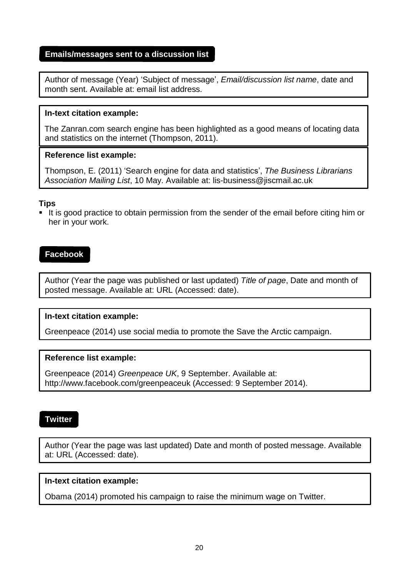## <span id="page-23-0"></span>**Emails/messages sent to a discussion list**

Author of message (Year) 'Subject of message', *Email/discussion list name*, date and month sent. Available at: email list address.

#### **In-text citation example:**

The Zanran.com search engine has been highlighted as a good means of locating data and statistics on the internet (Thompson, 2011).

#### **Reference list example:**

Thompson, E. (2011) 'Search engine for data and statistics', *The Business Librarians Association Mailing List*, 10 May. Available at: [lis-business@jiscmail.ac.uk](mailto:lis-business@jiscmail.ac.uk)

#### **Tips**

It is good practice to obtain permission from the sender of the email before citing him or her in your work.

# <span id="page-23-1"></span>**Facebook**

Author (Year the page was published or last updated) *Title of page*, Date and month of posted message. Available at: URL (Accessed: date).

#### **In-text citation example:**

Greenpeace (2014) use social media to promote the Save the Arctic campaign.

#### **Reference list example:**

Greenpeace (2014) *Greenpeace UK*, 9 September. Available at[:](http://www.facebook.com/greenpeaceuk) <http://www.facebook.com/greenpeaceuk> (Accessed: 9 September 2014).

#### <span id="page-23-2"></span>**Twitter**

Author (Year the page was last updated) Date and month of posted message. Available at: URL (Accessed: date).

#### **In-text citation example:**

Obama (2014) promoted his campaign to raise the minimum wage on Twitter.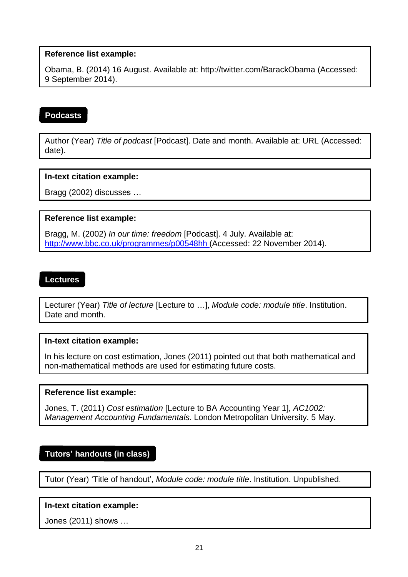<span id="page-24-0"></span>Obama, B. (2014) 16 August. Available at: <http://twitter.com/BarackObama> (Accessed: 9 September 2014).

# **Podcasts**

Author (Year) *Title of podcast* [Podcast]. Date and month. Available at: URL (Accessed: date).

# **In-text citation example:**

Bragg (2002) discusses …

# **Reference list example:**

Bragg, M. (2002) *In our time: freedom* [Podcast]. 4 July. Available at: <http://www.bbc.co.uk/programmes/p00548hh> (Accessed: 22 November 2014).

# **Lectures**

Lecturer (Year) *Title of lecture* [Lecture to …], *Module code: module title*. Institution. Date and month.

#### **In-text citation example:**

In his lecture on cost estimation, Jones (2011) pointed out that both mathematical and non-mathematical methods are used for estimating future costs.

#### **Reference list example:**

Jones, T. (2011) *Cost estimation* [Lecture to BA Accounting Year 1], *AC1002: Management Accounting Fundamentals*. London Metropolitan University. 5 May.

# <span id="page-24-1"></span>**Tutors' handouts (in class)**

Tutor (Year) 'Title of handout', *Module code: module title*. Institution. Unpublished.

#### **In-text citation example:**

Jones (2011) shows …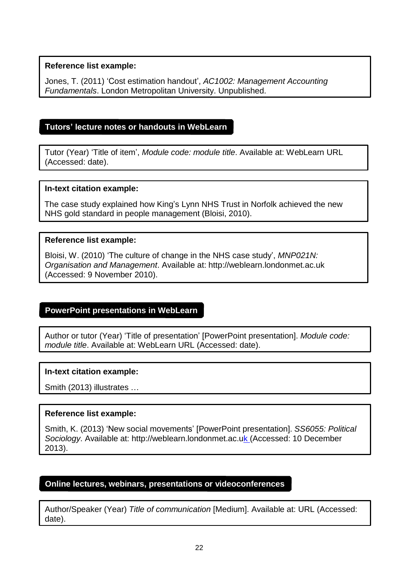<span id="page-25-0"></span>Jones, T. (2011) 'Cost estimation handout', *AC1002: Management Accounting Fundamentals*. London Metropolitan University. Unpublished.

# **Tutors' lecture notes or handouts in WebLearn**

Tutor (Year) 'Title of item', *Module code: module title*. Available at: WebLearn URL (Accessed: date).

#### **In-text citation example:**

The case study explained how King's Lynn NHS Trust in Norfolk achieved the new NHS gold standard in people management (Bloisi, 2010).

#### **Reference list example:**

Bloisi, W. (2010) 'The culture of change in the NHS case study', *MNP021N: Organisation and Management*. Available at: [http://weblearn.londonmet.ac.uk](http://weblearn.londonmet.ac.uk/) (Accessed: 9 November 2010).

# <span id="page-25-1"></span>**PowerPoint presentations in WebLearn**

Author or tutor (Year) 'Title of presentation' [PowerPoint presentation]. *Module code: module title*. Available at: WebLearn URL (Accessed: date).

#### **In-text citation example:**

Smith (2013) illustrates …

#### **Reference list example:**

Smith, K. (2013) 'New social movements' [PowerPoint presentation]. *SS6055: Political Sociology*. Available a[t: http://weblearn.londonmet.ac.uk \(](http://weblearn.londonmet.ac.uk/)Accessed: 10 December 2013).

## <span id="page-25-2"></span>**Online lectures, webinars, presentations or videoconferences**

Author/Speaker (Year) *Title of communication* [Medium]. Available at: URL (Accessed: date).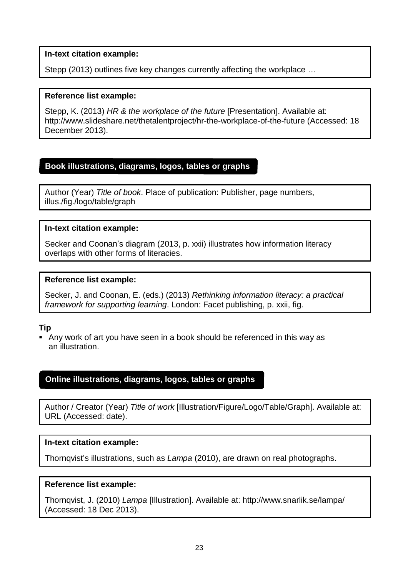#### **In-text citation example:**

Stepp (2013) outlines five key changes currently affecting the workplace …

#### **Reference list example:**

Stepp, K. (2013) *HR & the workplace of the future* [Presentation]. Available at[:](http://www.slideshare.net/thetalentproject/hr-the-workplace-of-the-future) <http://www.slideshare.net/thetalentproject/hr-the-workplace-of-the-future> (Accessed: 18 December 2013).

# <span id="page-26-0"></span>**Book illustrations, diagrams, logos, tables or graphs**

Author (Year) *Title of book*. Place of publication: Publisher, page numbers, illus./fig./logo/table/graph

#### **In-text citation example:**

Secker and Coonan's diagram (2013, p. xxii) illustrates how information literacy overlaps with other forms of literacies.

#### **Reference list example:**

Secker, J. and Coonan, E. (eds.) (2013) *Rethinking information literacy: a practical framework for supporting learning*. London: Facet publishing, p. xxii, fig.

#### **Tip**

 Any work of art you have seen in a book should be referenced in this way as an illustration.

# <span id="page-26-1"></span>**Online illustrations, diagrams, logos, tables or graphs**

Author / Creator (Year) *Title of work* [Illustration/Figure/Logo/Table/Graph]. Available at: URL (Accessed: date).

#### **In-text citation example:**

Thornqvist's illustrations, such as *Lampa* (2010), are drawn on real photographs.

#### **Reference list example:**

Thornqvist, J. (2010) *Lampa* [Illustration]. Available a[t: http://www.snarlik.se/lampa/](http://www.snarlik.se/lampa/) (Accessed: 18 Dec 2013).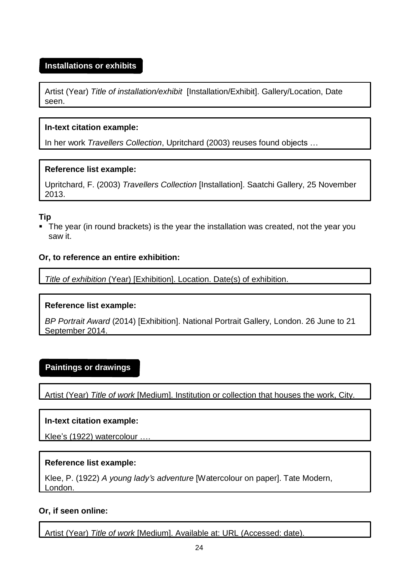# <span id="page-27-0"></span>**Installations or exhibits**

Artist (Year) *Title of installation/exhibit* [Installation/Exhibit]. Gallery/Location, Date seen.

#### **In-text citation example:**

In her work *Travellers Collection*, Upritchard (2003) reuses found objects …

#### **Reference list example:**

Upritchard, F. (2003) *Travellers Collection* [Installation]. Saatchi Gallery, 25 November 2013.

#### **Tip**

 The year (in round brackets) is the year the installation was created, not the year you saw it.

#### **Or, to reference an entire exhibition:**

*Title of exhibition* (Year) [Exhibition]. Location. Date(s) of exhibition.

# **Reference list example:**

*BP Portrait Award* (2014) [Exhibition]. National Portrait Gallery, London. 26 June to 21 September 2014.

# <span id="page-27-1"></span>**Paintings or drawings**

Artist (Year) *Title of work* [Medium]. Institution or collection that houses the work, City.

#### **In-text citation example:**

Klee's (1922) watercolour ….

#### **Reference list example:**

Klee, P. (1922) *A young lady's adventure* [Watercolour on paper]. Tate Modern, London.

#### **Or, if seen online:**

Artist (Year) *Title of work* [Medium]. Available at: URL (Accessed: date).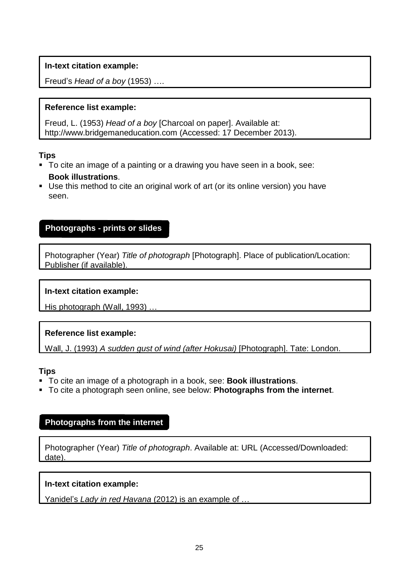# **In-text citation example:**

Freud's *Head of a boy* (1953) ….

# **Reference list example:**

Freud, L. (1953) *Head of a boy* [Charcoal on paper]. Available at[:](http://www.bridgemaneducation.com/) [http://www.bridgemaneducation.com](http://www.bridgemaneducation.com/) (Accessed: 17 December 2013).

# **Tips**

- <span id="page-28-2"></span> To cite an image of a painting or a drawing you have seen in a book, see: **Book illustrations**.
- Use this method to cite an original work of art (or its online version) you have seen.

# <span id="page-28-0"></span>**Photographs - prints or slides**

Photographer (Year) *Title of photograph* [Photograph]. Place of publication/Location: Publisher (if available).

# **In-text citation example:**

His photograph (Wall, 1993) …

# **Reference list example:**

Wall, J. (1993) *A sudden gust of wind (after Hokusai)* [Photograph]. Tate: London.

# **Tips**

- To cite an image of a photograph in a book, see: **Book illustrations**.
- To cite a photograph seen online, see below: **Photographs from the internet**.

# <span id="page-28-1"></span>**Photographs from the internet**

Photographer (Year) *Title of photograph*. Available at: URL (Accessed/Downloaded: date).

# **In-text citation example:**

Yanidel's *Lady in red Havana* (2012) is an example of …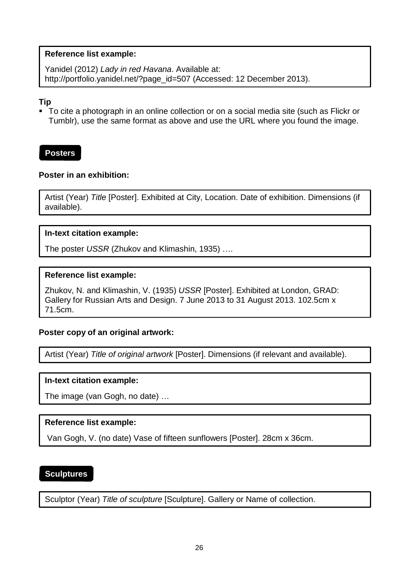<span id="page-29-1"></span>Yanidel (2012) *Lady in red Havana*. Available at[:](http://portfolio.yanidel.net/?page_id=507) [http://portfolio.yanidel.net/?page\\_id=507](http://portfolio.yanidel.net/?page_id=507) (Accessed: 12 December 2013).

#### **Tip**

 To cite a photograph in an online collection or on a social media site (such as Flickr or Tumblr), use the same format as above and use the URL where you found the image.

#### <span id="page-29-0"></span>**Posters**

#### **Poster in an exhibition:**

Artist (Year) *Title* [Poster]. Exhibited at City, Location. Date of exhibition. Dimensions (if available).

#### **In-text citation example:**

The poster *USSR* (Zhukov and Klimashin, 1935) ….

#### **Reference list example:**

Zhukov, N. and Klimashin, V. (1935) *USSR* [Poster]. Exhibited at London, GRAD: Gallery for Russian Arts and Design. 7 June 2013 to 31 August 2013. 102.5cm x 71.5cm.

#### **Poster copy of an original artwork:**

Artist (Year) *Title of original artwork* [Poster]. Dimensions (if relevant and available).

#### **In-text citation example:**

The image (van Gogh, no date) …

#### **Reference list example:**

Van Gogh, V. (no date) Vase of fifteen sunflowers [Poster]. 28cm x 36cm.

# **Sculptures**

Sculptor (Year) *Title of sculpture* [Sculpture]. Gallery or Name of collection.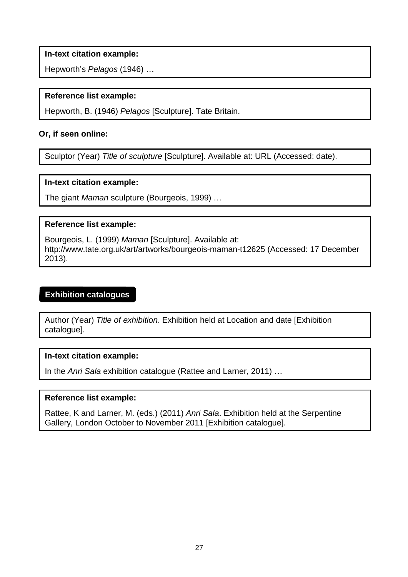<span id="page-30-0"></span>**In-text citation example:**

Hepworth's *Pelagos* (1946) …

#### **Reference list example:**

Hepworth, B. (1946) *Pelagos* [Sculpture]. Tate Britain.

#### **Or, if seen online:**

Sculptor (Year) *Title of sculpture* [Sculpture]. Available at: URL (Accessed: date).

#### **In-text citation example:**

The giant *Maman* sculpture (Bourgeois, 1999) …

#### **Reference list example:**

Bourgeois, L. (1999) *Maman* [Sculpture]. Available at[:](http://www.tate.org.uk/art/artworks/bourgeois-maman-t12625) <http://www.tate.org.uk/art/artworks/bourgeois-maman-t12625> (Accessed: 17 December 2013).

#### **Exhibition catalogues**

Author (Year) *Title of exhibition*. Exhibition held at Location and date [Exhibition catalogue].

#### **In-text citation example:**

In the *Anri Sala* exhibition catalogue (Rattee and Larner, 2011) …

#### **Reference list example:**

Rattee, K and Larner, M. (eds.) (2011) *Anri Sala*. Exhibition held at the Serpentine Gallery, London October to November 2011 [Exhibition catalogue].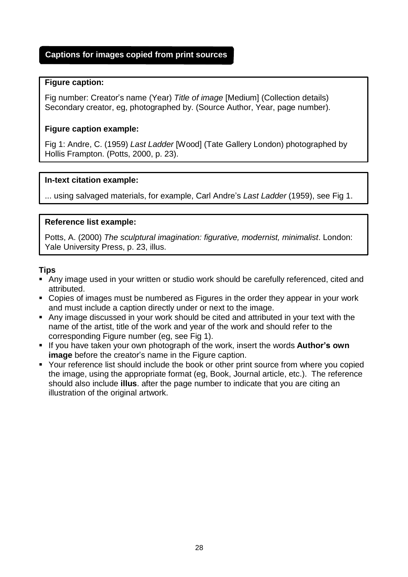# <span id="page-31-0"></span>**Captions for images copied from print sources**

#### **Figure caption:**

Fig number: Creator's name (Year) *Title of image* [Medium] (Collection details) Secondary creator, eg, photographed by. (Source Author, Year, page number).

#### **Figure caption example:**

Fig 1: Andre, C. (1959) *Last Ladder* [Wood] (Tate Gallery London) photographed by Hollis Frampton. (Potts, 2000, p. 23).

#### **In-text citation example:**

... using salvaged materials, for example, Carl Andre's *Last Ladder* (1959), see Fig 1.

#### **Reference list example:**

Potts, A. (2000) *The sculptural imagination: figurative, modernist, minimalist*. London: Yale University Press, p. 23, illus.

#### **Tips**

- Any image used in your written or studio work should be carefully referenced, cited and attributed.
- Copies of images must be numbered as Figures in the order they appear in your work and must include a caption directly under or next to the image.
- Any image discussed in your work should be cited and attributed in your text with the name of the artist, title of the work and year of the work and should refer to the corresponding Figure number (eg, see Fig 1).
- If you have taken your own photograph of the work, insert the words **Author's own image** before the creator's name in the Figure caption.
- Your reference list should include the book or other print source from where you copied the image, using the appropriate format (eg, Book, Journal article, etc.). The reference should also include **illus**. after the page number to indicate that you are citing an illustration of the original artwork.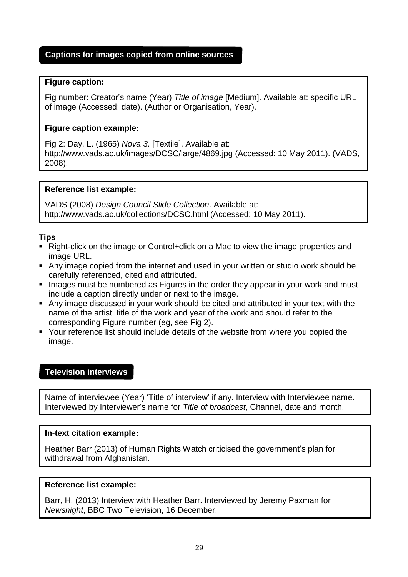# <span id="page-32-1"></span><span id="page-32-0"></span>**Captions for images copied from online sources**

## **Figure caption:**

Fig number: Creator's name (Year) *Title of image* [Medium]. Available at: specific URL of image (Accessed: date). (Author or Organisation, Year).

# **Figure caption example:**

Fig 2: Day, L. (1965) *Nova 3*. [Textile]. Available at[:](http://www.vads.ac.uk/images/DCSC/large/4869.jpg) <http://www.vads.ac.uk/images/DCSC/large/4869.jpg> (Accessed: 10 May 2011). (VADS, 2008).

# **Reference list example:**

VADS (2008) *Design Council Slide Collection*. Available at[:](http://www.vads.ac.uk/collections/DCSC.html) <http://www.vads.ac.uk/collections/DCSC.html> (Accessed: 10 May 2011).

# **Tips**

- Right-click on the image or Control+click on a Mac to view the image properties and image URL.
- Any image copied from the internet and used in your written or studio work should be carefully referenced, cited and attributed.
- Images must be numbered as Figures in the order they appear in your work and must include a caption directly under or next to the image.
- Any image discussed in your work should be cited and attributed in your text with the name of the artist, title of the work and year of the work and should refer to the corresponding Figure number (eg, see Fig 2).
- Your reference list should include details of the website from where you copied the image.

# **Television interviews**

Name of interviewee (Year) 'Title of interview' if any. Interview with Interviewee name. Interviewed by Interviewer's name for *Title of broadcast*, Channel, date and month.

#### **In-text citation example:**

Heather Barr (2013) of Human Rights Watch criticised the government's plan for withdrawal from Afghanistan.

#### **Reference list example:**

Barr, H. (2013) Interview with Heather Barr. Interviewed by Jeremy Paxman for *Newsnight*, BBC Two Television, 16 December.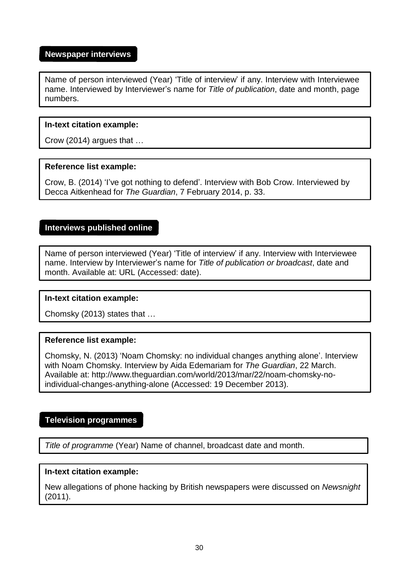#### <span id="page-33-0"></span>**Newspaper interviews**

Name of person interviewed (Year) 'Title of interview' if any. Interview with Interviewee name. Interviewed by Interviewer's name for *Title of publication*, date and month, page numbers.

#### **In-text citation example:**

Crow (2014) argues that …

#### **Reference list example:**

Crow, B. (2014) 'I've got nothing to defend'. Interview with Bob Crow. Interviewed by Decca Aitkenhead for *The Guardian*, 7 February 2014, p. 33.

#### **Interviews published online**

Name of person interviewed (Year) 'Title of interview' if any. Interview with Interviewee name. Interview by Interviewer's name for *Title of publication or broadcast*, date and month. Available at: URL (Accessed: date).

#### **In-text citation example:**

Chomsky (2013) states that …

#### **Reference list example:**

Chomsky, N. (2013) 'Noam Chomsky: no individual changes anything alone'. Interview with Noam Chomsky. Interview by Aida Edemariam for *The Guardian*, 22 March. Available at: [http://www.theguardian.com/world/2013/mar/22/noam-chomsky-no](http://www.theguardian.com/world/2013/mar/22/noam-chomsky-no-individual-changes-anything-alone)[individual-changes-anything-alone](http://www.theguardian.com/world/2013/mar/22/noam-chomsky-no-individual-changes-anything-alone) (Accessed: 19 December 2013).

#### <span id="page-33-1"></span>**Television programmes**

*Title of programme* (Year) Name of channel, broadcast date and month.

#### **In-text citation example:**

New allegations of phone hacking by British newspapers were discussed on *Newsnight* (2011).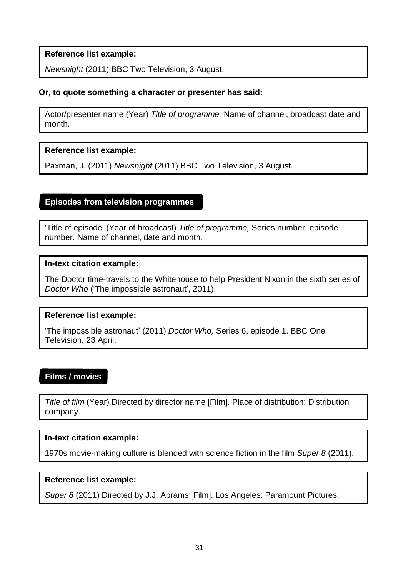<span id="page-34-1"></span>*Newsnight* (2011) BBC Two Television, 3 August.

# **Or, to quote something a character or presenter has said:**

Actor/presenter name (Year) *Title of programme.* Name of channel, broadcast date and month.

#### **Reference list example:**

Paxman, J. (2011) *Newsnight* (2011) BBC Two Television, 3 August.

#### <span id="page-34-0"></span>**Episodes from television programmes**

'Title of episode' (Year of broadcast) *Title of programme,* Series number, episode number. Name of channel, date and month.

#### **In-text citation example:**

The Doctor time-travels to the Whitehouse to help President Nixon in the sixth series of *Doctor Who* ('The impossible astronaut', 2011).

#### **Reference list example:**

'The impossible astronaut' (2011) *Doctor Who,* Series 6, episode 1. BBC One Television, 23 April.

# **Films / movies**

*Title of film* (Year) Directed by director name [Film]. Place of distribution: Distribution company.

#### **In-text citation example:**

1970s movie-making culture is blended with science fiction in the film *Super 8* (2011).

#### **Reference list example:**

*Super 8* (2011) Directed by J.J. Abrams [Film]. Los Angeles: Paramount Pictures.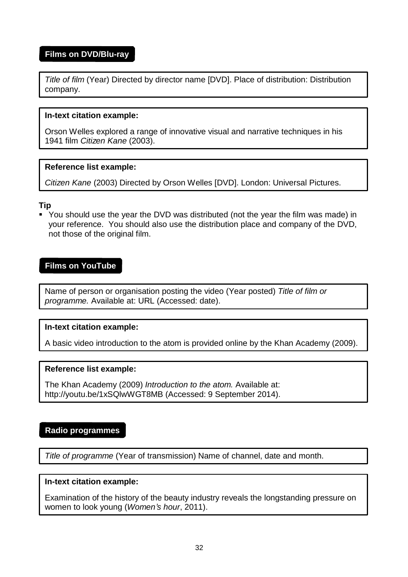# <span id="page-35-0"></span>**Films on DVD/Blu-ray**

*Title of film* (Year) Directed by director name [DVD]. Place of distribution: Distribution company.

#### **In-text citation example:**

Orson Welles explored a range of innovative visual and narrative techniques in his 1941 film *Citizen Kane* (2003).

#### **Reference list example:**

*Citizen Kane* (2003) Directed by Orson Welles [DVD]. London: Universal Pictures.

#### **Tip**

 You should use the year the DVD was distributed (not the year the film was made) in your reference. You should also use the distribution place and company of the DVD, not those of the original film.

#### **Films on YouTube**

Name of person or organisation posting the video (Year posted) *Title of film or programme.* Available at: URL (Accessed: date).

#### **In-text citation example:**

A basic video introduction to the atom is provided online by the Khan Academy (2009).

#### **Reference list example:**

The Khan Academy (2009) *Introduction to the atom.* Available at[:](http://youtu.be/1xSQlwWGT8MB) <http://youtu.be/1xSQlwWGT8MB> (Accessed: 9 September 2014).

#### <span id="page-35-1"></span>**Radio programmes**

*Title of programme* (Year of transmission) Name of channel, date and month.

#### **In-text citation example:**

Examination of the history of the beauty industry reveals the longstanding pressure on women to look young (*Women's hour*, 2011).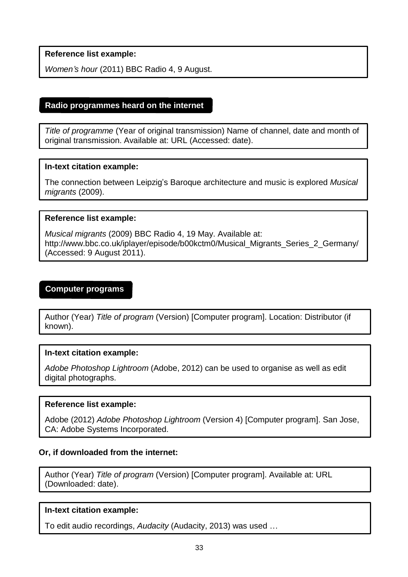<span id="page-36-0"></span>*Women's hour* (2011) BBC Radio 4, 9 August.

## **Radio programmes heard on the internet**

*Title of programme* (Year of original transmission) Name of channel, date and month of original transmission. Available at: URL (Accessed: date).

#### **In-text citation example:**

The connection between Leipzig's Baroque architecture and music is explored *Musical migrants* (2009).

#### **Reference list example:**

*Musical migrants* (2009) BBC Radio 4, 19 May. Available at[:](http://www.bbc.co.uk/iplayer/episode/b00kctm0/Musical_Migrants_Series_2_Germany/) [http://www.bbc.co.uk/iplayer/episode/b00kctm0/Musical\\_Migrants\\_Series\\_2\\_Germany/](http://www.bbc.co.uk/iplayer/episode/b00kctm0/Musical_Migrants_Series_2_Germany/) (Accessed: 9 August 2011).

# <span id="page-36-1"></span>**Computer programs**

Author (Year) *Title of program* (Version) [Computer program]. Location: Distributor (if known).

#### **In-text citation example:**

*Adobe Photoshop Lightroom* (Adobe, 2012) can be used to organise as well as edit digital photographs.

#### **Reference list example:**

Adobe (2012) *Adobe Photoshop Lightroom* (Version 4) [Computer program]. San Jose, CA: Adobe Systems Incorporated.

#### **Or, if downloaded from the internet:**

Author (Year) *Title of program* (Version) [Computer program]. Available at: URL (Downloaded: date).

#### **In-text citation example:**

To edit audio recordings, *Audacity* (Audacity, 2013) was used …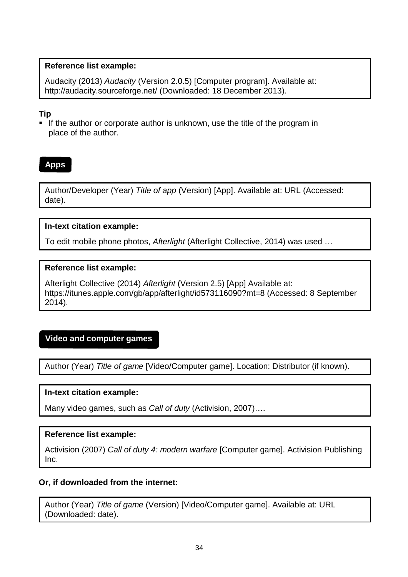<span id="page-37-0"></span>Audacity (2013) *Audacity* (Version 2.0.5) [Computer program]. Available at[:](http://audacity.sourceforge.net/) [http://audacity.sourceforge.net/ \(](http://audacity.sourceforge.net/)Downloaded: 18 December 2013).

# **Tip**

If the author or corporate author is unknown, use the title of the program in place of the author.

# **Apps**

Author/Developer (Year) *Title of app* (Version) [App]. Available at: URL (Accessed: date).

# **In-text citation example:**

To edit mobile phone photos, *Afterlight* (Afterlight Collective, 2014) was used …

# **Reference list example:**

Afterlight Collective (2014) *Afterlight* (Version 2.5) [App] Available at[:](https://itunes.apple.com/gb/app/afterlight/id573116090?mt=8) <https://itunes.apple.com/gb/app/afterlight/id573116090?mt=8> (Accessed: 8 September 2014).

# <span id="page-37-1"></span>**Video and computer games**

Author (Year) *Title of game* [Video/Computer game]. Location: Distributor (if known).

# **In-text citation example:**

Many video games, such as *Call of duty* (Activision, 2007)….

# **Reference list example:**

Activision (2007) *Call of duty 4: modern warfare* [Computer game]. Activision Publishing Inc.

# **Or, if downloaded from the internet:**

Author (Year) *Title of game* (Version) [Video/Computer game]. Available at: URL (Downloaded: date).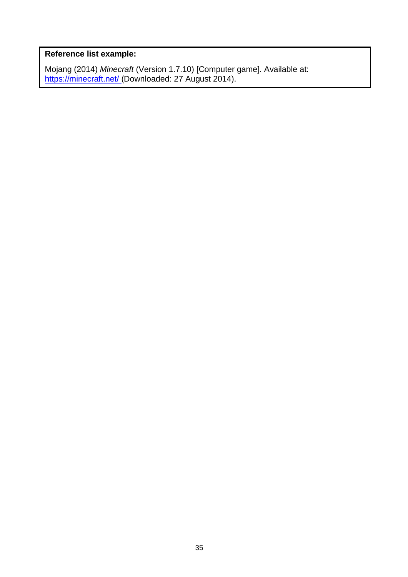Mojang (2014) *Minecraft* (Version 1.7.10) [Computer game]. Available at: <u>[https://minecraft.net/ \(](https://minecraft.net/)</u>Downloaded: 27 August 2014).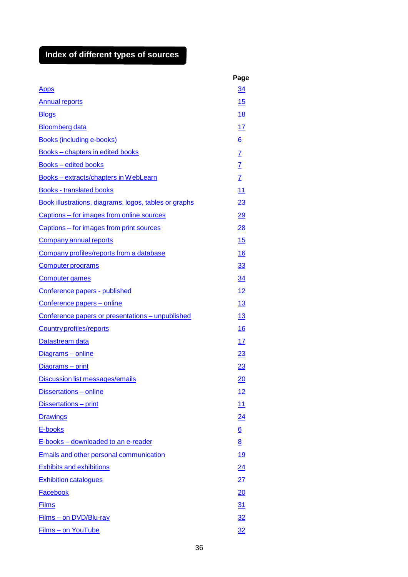# <span id="page-39-0"></span>**Index of different types of sources**

|                                                       | Page            |
|-------------------------------------------------------|-----------------|
| <u>Apps</u>                                           | <u>34</u>       |
| <b>Annual reports</b>                                 | 15              |
| <b>Blogs</b>                                          | <u>18</u>       |
| <b>Bloomberg data</b>                                 | 17              |
| <b>Books (including e-books)</b>                      | $\underline{6}$ |
| Books - chapters in edited books                      |                 |
| <b>Books</b> – edited books                           | $\frac{7}{7}$   |
| Books - extracts/chapters in WebLearn                 | $\overline{1}$  |
| <b>Books - translated books</b>                       | 11              |
| Book illustrations, diagrams, logos, tables or graphs | 23              |
| Captions – for images from online sources             | 29              |
| Captions – for images from print sources              | 28              |
| <b>Company annual reports</b>                         | 15              |
| Company profiles/reports from a database              | 16              |
| <b>Computer programs</b>                              | <u>33</u>       |
| <b>Computer games</b>                                 | 34              |
| Conference papers - published                         | 12              |
| Conference papers - online                            | 13              |
| Conference papers or presentations - unpublished      | <u>13</u>       |
| <b>Country profiles/reports</b>                       | 16              |
| Datastream data                                       | 17              |
| Diagrams - online                                     | 23              |
| Diagrams - print                                      | 23              |
| <b>Discussion list messages/emails</b>                | $\overline{20}$ |
| Dissertations - online                                | <u> 12</u>      |
| Dissertations - print                                 | 11              |
| <b>Drawings</b>                                       | <u>24</u>       |
| E-books                                               | $\underline{6}$ |
| E-books – downloaded to an e-reader                   | 8               |
| <b>Emails and other personal communication</b>        | <u> 19</u>      |
| <b>Exhibits and exhibitions</b>                       | 24              |
| <b>Exhibition catalogues</b>                          | 27              |
| Facebook                                              | 20              |
| <b>Films</b>                                          | 31              |
| Films - on DVD/Blu-ray                                | 32              |
| Films - on YouTube                                    | 32              |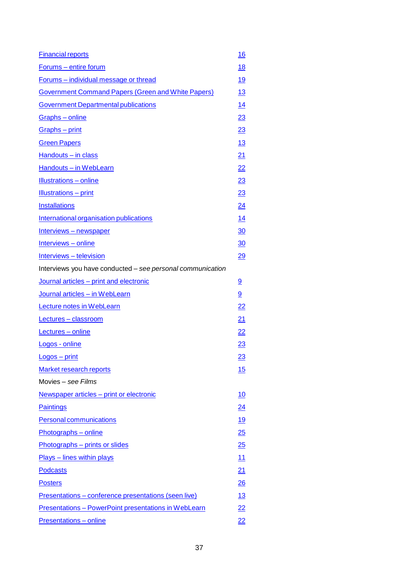| <b>Financial reports</b>                                    | <u>16</u>       |
|-------------------------------------------------------------|-----------------|
| Forums - entire forum                                       | <u>18</u>       |
| Forums - individual message or thread                       | <u>19</u>       |
| <b>Government Command Papers (Green and White Papers)</b>   | <u> 13</u>      |
| <b>Government Departmental publications</b>                 | <u>14</u>       |
| Graphs - online                                             | <u> 23</u>      |
| Graphs - print                                              | <u> 23</u>      |
| <b>Green Papers</b>                                         | <u> 13</u>      |
| Handouts - in class                                         | <u>21</u>       |
| Handouts - in WebLearn                                      | <u>22</u>       |
| <b>Illustrations</b> - online                               | <u> 23</u>      |
| <b>Illustrations - print</b>                                | <u> 23</u>      |
| <b>Installations</b>                                        | <u>24</u>       |
| International organisation publications                     | <u> 14</u>      |
| Interviews - newspaper                                      | $\overline{30}$ |
| Interviews - online                                         | <u>30</u>       |
| Interviews - television                                     | $\overline{29}$ |
| Interviews you have conducted – see personal communication  |                 |
| Journal articles - print and electronic                     | 9               |
| Journal articles - in WebLearn                              | 9               |
| <b>Lecture notes in WebLearn</b>                            | $\overline{22}$ |
| Lectures - classroom                                        | <u>21</u>       |
| Lectures - online                                           | <u>22</u>       |
| Logos - online                                              | 23              |
| $Logos - print$                                             | <u> 23</u>      |
| <b>Market research reports</b>                              | <u>15</u>       |
| Movies - see Films                                          |                 |
| Newspaper articles - print or electronic                    | <u> 10</u>      |
| <b>Paintings</b>                                            | <u>24</u>       |
| <b>Personal communications</b>                              | <u> 19</u>      |
| Photographs - online                                        | 25              |
| Photographs - prints or slides                              | 25              |
| <b>Plays</b> – lines within plays                           | <u> 11</u>      |
| <b>Podcasts</b>                                             | 21              |
| <b>Posters</b>                                              | $\frac{26}{5}$  |
| Presentations - conference presentations (seen live)        | <u> 13</u>      |
| <b>Presentations - PowerPoint presentations in WebLearn</b> | <u>22</u>       |
| <b>Presentations - online</b>                               | <u>22</u>       |